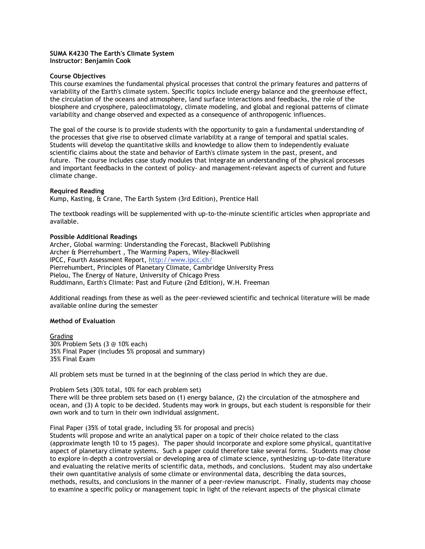## **SUMA K4230 The Earth's Climate System Instructor: Benjamin Cook**

## **Course Objectives**

This course examines the fundamental physical processes that control the primary features and patterns of variability of the Earth's climate system. Specific topics include energy balance and the greenhouse effect, the circulation of the oceans and atmosphere, land surface interactions and feedbacks, the role of the biosphere and cryosphere, paleoclimatology, climate modeling, and global and regional patterns of climate variability and change observed and expected as a consequence of anthropogenic influences.

The goal of the course is to provide students with the opportunity to gain a fundamental understanding of the processes that give rise to observed climate variability at a range of temporal and spatial scales. Students will develop the quantitative skills and knowledge to allow them to independently evaluate scientific claims about the state and behavior of Earth's climate system in the past, present, and future. The course includes case study modules that integrate an understanding of the physical processes and important feedbacks in the context of policy- and management-relevant aspects of current and future climate change.

## **Required Reading**

Kump, Kasting, & Crane, The Earth System (3rd Edition), Prentice Hall

The textbook readings will be supplemented with up-to-the-minute scientific articles when appropriate and available.

## **Possible Additional Readings**

Archer, Global warming: Understanding the Forecast, Blackwell Publishing Archer & Pierrehumbert , The Warming Papers, Wiley-Blackwell IPCC, Fourth Assessment Report,<http://www.ipcc.ch/> Pierrehumbert, Principles of Planetary Climate, Cambridge University Press Pielou, The Energy of Nature, University of Chicago Press Ruddimann, Earth's Climate: Past and Future (2nd Edition), W.H. Freeman

Additional readings from these as well as the peer-reviewed scientific and technical literature will be made available online during the semester

### **Method of Evaluation**

Grading 30% Problem Sets (3 @ 10% each) 35% Final Paper (includes 5% proposal and summary) 35% Final Exam

All problem sets must be turned in at the beginning of the class period in which they are due.

# Problem Sets (30% total, 10% for each problem set) There will be three problem sets based on (1) energy balance, (2) the circulation of the atmosphere and ocean, and (3) A topic to be decided. Students may work in groups, but each student is responsible for their own work and to turn in their own individual assignment.

Final Paper (35% of total grade, including 5% for proposal and precis)

Students will propose and write an analytical paper on a topic of their choice related to the class (approximate length 10 to 15 pages). The paper should incorporate and explore some physical, quantitative aspect of planetary climate systems. Such a paper could therefore take several forms. Students may chose to explore in-depth a controversial or developing area of climate science, synthesizing up-to-date literature and evaluating the relative merits of scientific data, methods, and conclusions. Student may also undertake their own quantitative analysis of some climate or environmental data, describing the data sources, methods, results, and conclusions in the manner of a peer-review manuscript. Finally, students may choose to examine a specific policy or management topic in light of the relevant aspects of the physical climate